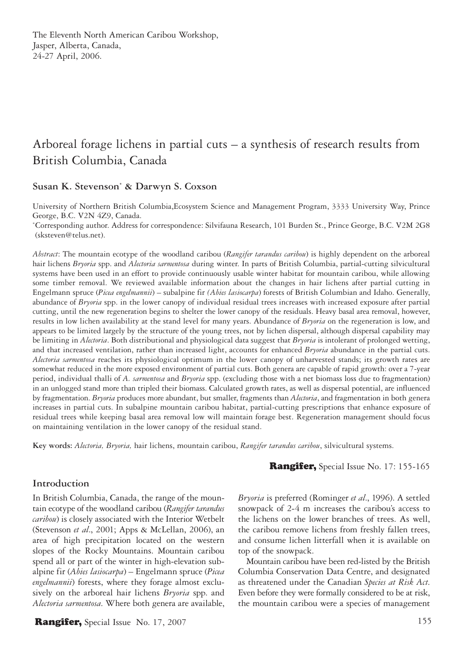# Arboreal forage lichens in partial cuts – a synthesis of research results from British Columbia, Canada

## **Susan K. Stevenson\* & Darwyn S. Coxson**

University of Northern British Columbia,Ecosystem Science and Management Program, 3333 University Way, Prince George, B.C. V2N 4Z9, Canada.

\* Corresponding author. Address for correspondence: Silvifauna Research, 101 Burden St., Prince George, B.C. V2M 2G8 (sksteven@telus.net).

*Abstract*: The mountain ecotype of the woodland caribou (*Rangifer tarandus caribou*) is highly dependent on the arboreal hair lichens *Bryoria* spp. and *Alectoria sarmentosa* during winter. In parts of British Columbia, partial-cutting silvicultural systems have been used in an effort to provide continuously usable winter habitat for mountain caribou, while allowing some timber removal. We reviewed available information about the changes in hair lichens after partial cutting in Engelmann spruce (*Picea engelmannii*) – subalpine fir *(Abies lasiocarpa*) forests of British Columbian and Idaho. Generally, abundance of *Bryoria* spp. in the lower canopy of individual residual trees increases with increased exposure after partial cutting, until the new regeneration begins to shelter the lower canopy of the residuals. Heavy basal area removal, however, results in low lichen availability at the stand level for many years. Abundance of *Bryoria* on the regeneration is low, and appears to be limited largely by the structure of the young trees, not by lichen dispersal, although dispersal capability may be limiting in *Alectoria*. Both distributional and physiological data suggest that *Bryoria* is intolerant of prolonged wetting, and that increased ventilation, rather than increased light, accounts for enhanced *Bryoria* abundance in the partial cuts. *Alectoria sarmentosa* reaches its physiological optimum in the lower canopy of unharvested stands; its growth rates are somewhat reduced in the more exposed environment of partial cuts. Both genera are capable of rapid growth: over a 7-year period, individual thalli of *A. sarmentosa* and *Bryoria* spp. (excluding those with a net biomass loss due to fragmentation) in an unlogged stand more than tripled their biomass. Calculated growth rates, as well as dispersal potential, are influenced by fragmentation. *Bryoria* produces more abundant, but smaller, fragments than *Alectoria*, and fragmentation in both genera increases in partial cuts. In subalpine mountain caribou habitat, partial-cutting prescriptions that enhance exposure of residual trees while keeping basal area removal low will maintain forage best. Regeneration management should focus on maintaining ventilation in the lower canopy of the residual stand.

**Key words:** *Alectoria, Bryoria,* hair lichens, mountain caribou, *Rangifer tarandus caribou*, silvicultural systems.

## **Introduction**

In British Columbia, Canada, the range of the mountain ecotype of the woodland caribou (*Rangifer tarandus caribou*) is closely associated with the Interior Wetbelt (Stevenson *et al*., 2001; Apps & McLellan, 2006), an area of high precipitation located on the western slopes of the Rocky Mountains. Mountain caribou spend all or part of the winter in high-elevation subalpine fir (*Abies lasiocarpa*) – Engelmann spruce (*Picea engelmannii*) forests, where they forage almost exclusively on the arboreal hair lichens *Bryoria* spp. and *Alectoria sarmentosa*. Where both genera are available,

Rangifer, Special Issue No. 17, 2007 155

Rangifer, Special Issue No. 17: 155-165

*Bryoria* is preferred (Rominger *et al*., 1996). A settled snowpack of 2-4 m increases the caribou's access to the lichens on the lower branches of trees. As well, the caribou remove lichens from freshly fallen trees, and consume lichen litterfall when it is available on top of the snowpack.

Mountain caribou have been red-listed by the British Columbia Conservation Data Centre, and designated as threatened under the Canadian *Species at Risk Act*. Even before they were formally considered to be at risk, the mountain caribou were a species of management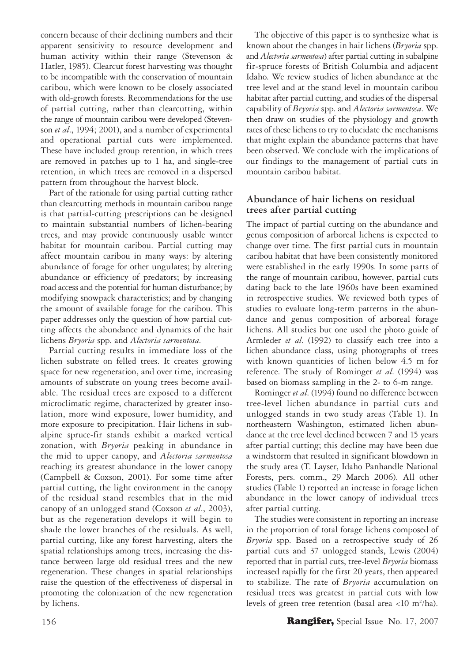concern because of their declining numbers and their apparent sensitivity to resource development and human activity within their range (Stevenson & Hatler, 1985). Clearcut forest harvesting was thought to be incompatible with the conservation of mountain caribou, which were known to be closely associated with old-growth forests. Recommendations for the use of partial cutting, rather than clearcutting, within the range of mountain caribou were developed (Stevenson *et al*., 1994; 2001), and a number of experimental and operational partial cuts were implemented. These have included group retention, in which trees are removed in patches up to 1 ha, and single-tree retention, in which trees are removed in a dispersed pattern from throughout the harvest block.

Part of the rationale for using partial cutting rather than clearcutting methods in mountain caribou range is that partial-cutting prescriptions can be designed to maintain substantial numbers of lichen-bearing trees, and may provide continuously usable winter habitat for mountain caribou. Partial cutting may affect mountain caribou in many ways: by altering abundance of forage for other ungulates; by altering abundance or efficiency of predators; by increasing road access and the potential for human disturbance; by modifying snowpack characteristics; and by changing the amount of available forage for the caribou. This paper addresses only the question of how partial cutting affects the abundance and dynamics of the hair lichens *Bryoria* spp. and *Alectoria sarmentosa*.

Partial cutting results in immediate loss of the lichen substrate on felled trees. It creates growing space for new regeneration, and over time, increasing amounts of substrate on young trees become available. The residual trees are exposed to a different microclimatic regime, characterized by greater insolation, more wind exposure, lower humidity, and more exposure to precipitation. Hair lichens in subalpine spruce-fir stands exhibit a marked vertical zonation, with *Bryoria* peaking in abundance in the mid to upper canopy, and *Alectoria sarmentosa*  reaching its greatest abundance in the lower canopy (Campbell & Coxson, 2001). For some time after partial cutting, the light environment in the canopy of the residual stand resembles that in the mid canopy of an unlogged stand (Coxson *et al*., 2003), but as the regeneration develops it will begin to shade the lower branches of the residuals. As well, partial cutting, like any forest harvesting, alters the spatial relationships among trees, increasing the distance between large old residual trees and the new regeneration. These changes in spatial relationships raise the question of the effectiveness of dispersal in promoting the colonization of the new regeneration by lichens.

The objective of this paper is to synthesize what is known about the changes in hair lichens (*Bryoria* spp. and *Alectoria sarmentosa*) after partial cutting in subalpine fir-spruce forests of British Columbia and adjacent Idaho. We review studies of lichen abundance at the tree level and at the stand level in mountain caribou habitat after partial cutting, and studies of the dispersal capability of *Bryoria* spp. and *Alectoria sarmentosa*. We then draw on studies of the physiology and growth rates of these lichens to try to elucidate the mechanisms that might explain the abundance patterns that have been observed. We conclude with the implications of our findings to the management of partial cuts in mountain caribou habitat.

## **Abundance of hair lichens on residual trees after partial cutting**

The impact of partial cutting on the abundance and genus composition of arboreal lichens is expected to change over time. The first partial cuts in mountain caribou habitat that have been consistently monitored were established in the early 1990s. In some parts of the range of mountain caribou, however, partial cuts dating back to the late 1960s have been examined in retrospective studies. We reviewed both types of studies to evaluate long-term patterns in the abundance and genus composition of arboreal forage lichens. All studies but one used the photo guide of Armleder *et al*. (1992) to classify each tree into a lichen abundance class, using photographs of trees with known quantities of lichen below 4.5 m for reference. The study of Rominger *et al*. (1994) was based on biomass sampling in the 2- to 6-m range.

Rominger *et al*. (1994) found no difference between tree-level lichen abundance in partial cuts and unlogged stands in two study areas (Table 1). In northeastern Washington, estimated lichen abundance at the tree level declined between 7 and 15 years after partial cutting; this decline may have been due a windstorm that resulted in significant blowdown in the study area (T. Layser, Idaho Panhandle National Forests, pers. comm., 29 March 2006). All other studies (Table 1) reported an increase in forage lichen abundance in the lower canopy of individual trees after partial cutting.

The studies were consistent in reporting an increase in the proportion of total forage lichens composed of *Bryoria* spp. Based on a retrospective study of 26 partial cuts and 37 unlogged stands, Lewis (2004) reported that in partial cuts, tree-level *Bryoria* biomass increased rapidly for the first 20 years, then appeared to stabilize. The rate of *Bryoria* accumulation on residual trees was greatest in partial cuts with low levels of green tree retention (basal area <10 m<sup>2</sup>/ha).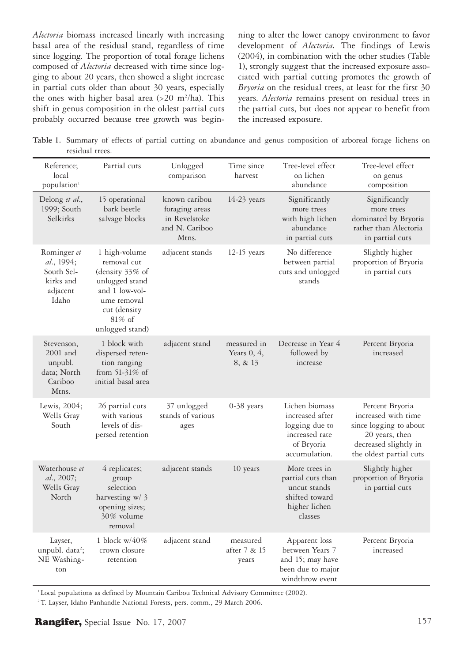*Alectoria* biomass increased linearly with increasing basal area of the residual stand, regardless of time since logging. The proportion of total forage lichens composed of *Alectoria* decreased with time since logging to about 20 years, then showed a slight increase in partial cuts older than about 30 years, especially the ones with higher basal area  $(>20 \text{ m}^2/\text{ha})$ . This shift in genus composition in the oldest partial cuts probably occurred because tree growth was begin-

ning to alter the lower canopy environment to favor development of *Alectoria.* The findings of Lewis (2004), in combination with the other studies (Table 1), strongly suggest that the increased exposure associated with partial cutting promotes the growth of *Bryoria* on the residual trees, at least for the first 30 years. *Alectoria* remains present on residual trees in the partial cuts, but does not appear to benefit from the increased exposure.

**Table 1.** Summary of effects of partial cutting on abundance and genus composition of arboreal forage lichens on residual trees.

| Reference;<br>local<br>population <sup>1</sup>                            | Partial cuts                                                                                                                                       | Unlogged<br>comparison                                                      | Time since<br>harvest                    | Tree-level effect<br>on lichen<br>abundance                                                          | Tree-level effect<br>on genus<br>composition                                                                                           |
|---------------------------------------------------------------------------|----------------------------------------------------------------------------------------------------------------------------------------------------|-----------------------------------------------------------------------------|------------------------------------------|------------------------------------------------------------------------------------------------------|----------------------------------------------------------------------------------------------------------------------------------------|
| Delong et al.,<br>1999; South<br>Selkirks                                 | 15 operational<br>bark beetle<br>salvage blocks                                                                                                    | known caribou<br>foraging areas<br>in Revelstoke<br>and N. Cariboo<br>Mtns. | 14-23 years                              | Significantly<br>more trees<br>with high lichen<br>abundance<br>in partial cuts                      | Significantly<br>more trees<br>dominated by Bryoria<br>rather than Alectoria<br>in partial cuts                                        |
| Rominger et<br>al., 1994;<br>South Sel-<br>kirks and<br>adjacent<br>Idaho | 1 high-volume<br>removal cut<br>(density 33% of<br>unlogged stand<br>and 1 low-vol-<br>ume removal<br>cut (density<br>$81\%$ of<br>unlogged stand) | adjacent stands                                                             | $12-15$ years                            | No difference<br>between partial<br>cuts and unlogged<br>stands                                      | Slightly higher<br>proportion of Bryoria<br>in partial cuts                                                                            |
| Stevenson,<br>2001 and<br>unpubl.<br>data; North<br>Cariboo<br>Mtns.      | 1 block with<br>dispersed reten-<br>tion ranging<br>from $51-31\%$ of<br>initial basal area                                                        | adjacent stand                                                              | measured in<br>Years $0, 4$ ,<br>8, & 13 | Decrease in Year 4<br>followed by<br>increase                                                        | Percent Bryoria<br>increased                                                                                                           |
| Lewis, 2004;<br>Wells Gray<br>South                                       | 26 partial cuts<br>with various<br>levels of dis-<br>persed retention                                                                              | 37 unlogged<br>stands of various<br>ages                                    | $0-38$ years                             | Lichen biomass<br>increased after<br>logging due to<br>increased rate<br>of Bryoria<br>accumulation. | Percent Bryoria<br>increased with time<br>since logging to about<br>20 years, then<br>decreased slightly in<br>the oldest partial cuts |
| Waterhouse et<br>al., 2007;<br>Wells Gray<br>North                        | 4 replicates;<br>group<br>selection<br>harvesting w/ 3<br>opening sizes;<br>30% volume<br>removal                                                  | adjacent stands                                                             | 10 years                                 | More trees in<br>partial cuts than<br>uncut stands<br>shifted toward<br>higher lichen<br>classes     | Slightly higher<br>proportion of Bryoria<br>in partial cuts                                                                            |
| Layser,<br>unpubl. data <sup>2</sup> ;<br>NE Washing-<br>ton              | 1 block $w/40\%$<br>crown closure<br>retention                                                                                                     | adjacent stand                                                              | measured<br>after 7 & 15<br>years        | Apparent loss<br>between Years 7<br>and 15; may have<br>been due to major<br>windthrow event         | Percent Bryoria<br>increased                                                                                                           |

<sup>1</sup> Local populations as defined by Mountain Caribou Technical Advisory Committee (2002).

<sup>2</sup> T. Layser, Idaho Panhandle National Forests, pers. comm., 29 March 2006.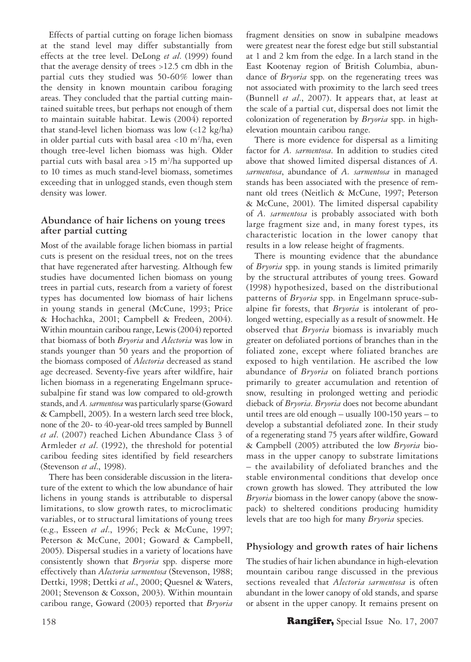Effects of partial cutting on forage lichen biomass at the stand level may differ substantially from effects at the tree level. DeLong *et al*. (1999) found that the average density of trees >12.5 cm dbh in the partial cuts they studied was 50-60% lower than the density in known mountain caribou foraging areas. They concluded that the partial cutting maintained suitable trees, but perhaps not enough of them to maintain suitable habitat. Lewis (2004) reported that stand-level lichen biomass was low (<12 kg/ha) in older partial cuts with basal area <10 m2 /ha, even though tree-level lichen biomass was high. Older partial cuts with basal area >15 m<sup>2</sup>/ha supported up to 10 times as much stand-level biomass, sometimes exceeding that in unlogged stands, even though stem density was lower.

## **Abundance of hair lichens on young trees after partial cutting**

Most of the available forage lichen biomass in partial cuts is present on the residual trees, not on the trees that have regenerated after harvesting. Although few studies have documented lichen biomass on young trees in partial cuts, research from a variety of forest types has documented low biomass of hair lichens in young stands in general (McCune, 1993; Price & Hochachka, 2001; Campbell & Fredeen, 2004). Within mountain caribou range, Lewis (2004) reported that biomass of both *Bryoria* and *Alectoria* was low in stands younger than 50 years and the proportion of the biomass composed of *Alectoria* decreased as stand age decreased. Seventy-five years after wildfire, hair lichen biomass in a regenerating Engelmann sprucesubalpine fir stand was low compared to old-growth stands, and *A. sarmentosa* was particularly sparse (Goward & Campbell, 2005). In a western larch seed tree block, none of the 20- to 40-year-old trees sampled by Bunnell *et al*. (2007) reached Lichen Abundance Class 3 of Armleder *et al*. (1992), the threshold for potential caribou feeding sites identified by field researchers (Stevenson *et al*., 1998).

There has been considerable discussion in the literature of the extent to which the low abundance of hair lichens in young stands is attributable to dispersal limitations, to slow growth rates, to microclimatic variables, or to structural limitations of young trees (e.g., Esseen *et al*., 1996; Peck & McCune, 1997; Peterson & McCune, 2001; Goward & Campbell, 2005). Dispersal studies in a variety of locations have consistently shown that *Bryoria* spp. disperse more effectively than *Alectoria sarmentosa* (Stevenson, 1988; Dettki, 1998; Dettki *et al*., 2000; Quesnel & Waters, 2001; Stevenson & Coxson, 2003). Within mountain caribou range, Goward (2003) reported that *Bryoria*

fragment densities on snow in subalpine meadows were greatest near the forest edge but still substantial at 1 and 2 km from the edge. In a larch stand in the East Kootenay region of British Columbia, abundance of *Bryoria* spp. on the regenerating trees was not associated with proximity to the larch seed trees (Bunnell *et al*., 2007). It appears that, at least at the scale of a partial cut, dispersal does not limit the colonization of regeneration by *Bryoria* spp. in highelevation mountain caribou range.

There is more evidence for dispersal as a limiting factor for *A. sarmentosa*. In addition to studies cited above that showed limited dispersal distances of *A. sarmentosa*, abundance of *A. sarmentosa* in managed stands has been associated with the presence of remnant old trees (Neitlich & McCune, 1997; Peterson & McCune, 2001). The limited dispersal capability of *A. sarmentosa* is probably associated with both large fragment size and, in many forest types, its characteristic location in the lower canopy that results in a low release height of fragments.

There is mounting evidence that the abundance of *Bryoria* spp. in young stands is limited primarily by the structural attributes of young trees. Goward (1998) hypothesized, based on the distributional patterns of *Bryoria* spp. in Engelmann spruce-subalpine fir forests, that *Bryoria* is intolerant of prolonged wetting, especially as a result of snowmelt. He observed that *Bryoria* biomass is invariably much greater on defoliated portions of branches than in the foliated zone, except where foliated branches are exposed to high ventilation. He ascribed the low abundance of *Bryoria* on foliated branch portions primarily to greater accumulation and retention of snow, resulting in prolonged wetting and periodic dieback of *Bryoria*. *Bryoria* does not become abundant until trees are old enough – usually 100-150 years – to develop a substantial defoliated zone. In their study of a regenerating stand 75 years after wildfire, Goward & Campbell (2005) attributed the low *Bryoria* biomass in the upper canopy to substrate limitations – the availability of defoliated branches and the stable environmental conditions that develop once crown growth has slowed. They attributed the low *Bryoria* biomass in the lower canopy (above the snowpack) to sheltered conditions producing humidity levels that are too high for many *Bryoria* species.

# **Physiology and growth rates of hair lichens**

The studies of hair lichen abundance in high-elevation mountain caribou range discussed in the previous sections revealed that *Alectoria sarmentosa* is often abundant in the lower canopy of old stands, and sparse or absent in the upper canopy. It remains present on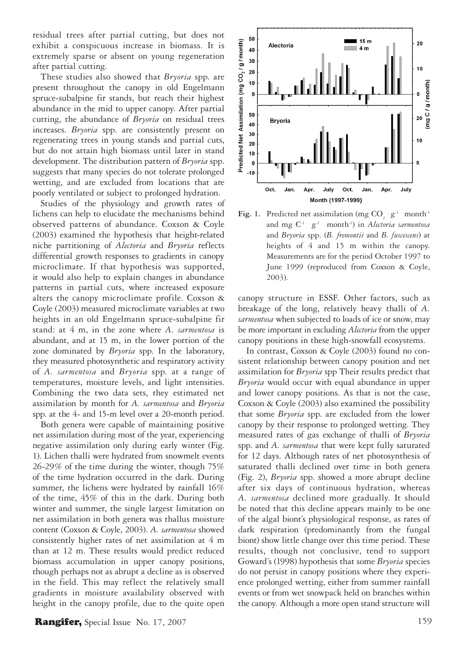residual trees after partial cutting, but does not exhibit a conspicuous increase in biomass. It is extremely sparse or absent on young regeneration after partial cutting.

These studies also showed that *Bryoria* spp. are present throughout the canopy in old Engelmann spruce-subalpine fir stands, but reach their highest abundance in the mid to upper canopy. After partial cutting, the abundance of *Bryoria* on residual trees increases. *Bryoria* spp. are consistently present on regenerating trees in young stands and partial cuts, but do not attain high biomass until later in stand development. The distribution pattern of *Bryoria* spp. suggests that many species do not tolerate prolonged wetting, and are excluded from locations that are poorly ventilated or subject to prolonged hydration.

Studies of the physiology and growth rates of lichens can help to elucidate the mechanisms behind observed patterns of abundance. Coxson & Coyle (2003) examined the hypothesis that height-related niche partitioning of *Alectoria* and *Bryoria* reflects differential growth responses to gradients in canopy microclimate. If that hypothesis was supported, it would also help to explain changes in abundance patterns in partial cuts, where increased exposure alters the canopy microclimate profile. Coxson & Coyle (2003) measured microclimate variables at two heights in an old Engelmann spruce-subalpine fir stand: at 4 m, in the zone where *A. sarmentosa* is abundant, and at 15 m, in the lower portion of the zone dominated by *Bryoria* spp. In the laboratory, they measured photosynthetic and respiratory activity of *A. sarmentosa* and *Bryoria* spp. at a range of temperatures, moisture levels, and light intensities. Combining the two data sets, they estimated net assimilation by month for *A. sarmentosa* and *Bryoria*  spp. at the 4- and 15-m level over a 20-month period.

Both genera were capable of maintaining positive net assimilation during most of the year, experiencing negative assimilation only during early winter (Fig. 1). Lichen thalli were hydrated from snowmelt events 26-29% of the time during the winter, though 75% of the time hydration occurred in the dark. During summer, the lichens were hydrated by rainfall 16% of the time, 45% of this in the dark. During both winter and summer, the single largest limitation on net assimilation in both genera was thallus moisture content (Coxson & Coyle, 2003). *A. sarmentosa* showed consistently higher rates of net assimilation at 4 m than at 12 m. These results would predict reduced biomass accumulation in upper canopy positions, though perhaps not as abrupt a decline as is observed in the field. This may reflect the relatively small gradients in moisture availability observed with height in the canopy profile, due to the quite open



**Fig. 1.** Predicted net assimilation (mg  $CO_2$   $g^{-1}$  month<sup>-1</sup> and mg C-1 . g-1 . month-1) in *Alectoria sarmentosa* and *Bryoria* spp. (*B. fremontii* and *B. fuscescens*) at heights of 4 and 15 m within the canopy. Measurements are for the period October 1997 to June 1999 (reproduced from Coxson & Coyle, 2003).

canopy structure in ESSF. Other factors, such as breakage of the long, relatively heavy thalli of *A. sarmentosa* when subjected to loads of ice or snow, may be more important in excluding *Alectoria* from the upper canopy positions in these high-snowfall ecosystems.

In contrast, Coxson & Coyle (2003) found no consistent relationship between canopy position and net assimilation for *Bryoria* spp Their results predict that *Bryoria* would occur with equal abundance in upper and lower canopy positions. As that is not the case, Coxson & Coyle (2003) also examined the possibility that some *Bryoria* spp. are excluded from the lower canopy by their response to prolonged wetting. They measured rates of gas exchange of thalli of *Bryoria*  spp. and *A. sarmentosa* that were kept fully saturated for 12 days. Although rates of net photosynthesis of saturated thalli declined over time in both genera (Fig. 2), *Bryoria* spp. showed a more abrupt decline after six days of continuous hydration, whereas *A. sarmentosa* declined more gradually. It should be noted that this decline appears mainly to be one of the algal biont's physiological response, as rates of dark respiration (predominantly from the fungal biont) show little change over this time period. These results, though not conclusive, tend to support Goward's (1998) hypothesis that some *Bryoria* species do not persist in canopy positions where they experience prolonged wetting, either from summer rainfall events or from wet snowpack held on branches within the canopy. Although a more open stand structure will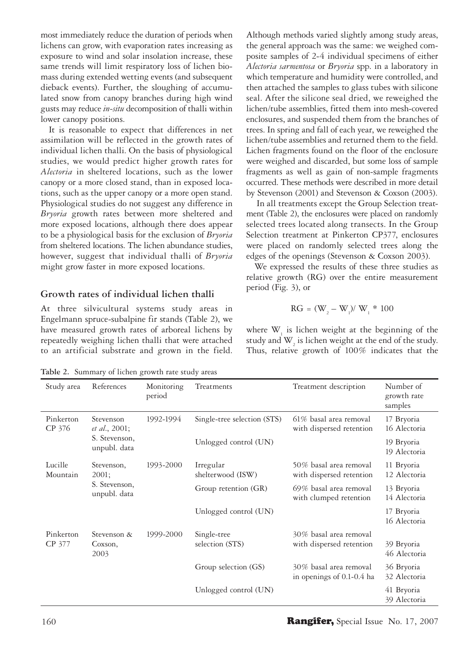most immediately reduce the duration of periods when lichens can grow, with evaporation rates increasing as exposure to wind and solar insolation increase, these same trends will limit respiratory loss of lichen biomass during extended wetting events (and subsequent dieback events). Further, the sloughing of accumulated snow from canopy branches during high wind gusts may reduce *in-situ* decomposition of thalli within lower canopy positions.

It is reasonable to expect that differences in net assimilation will be reflected in the growth rates of individual lichen thalli. On the basis of physiological studies, we would predict higher growth rates for *Alectoria* in sheltered locations, such as the lower canopy or a more closed stand, than in exposed locations, such as the upper canopy or a more open stand. Physiological studies do not suggest any difference in *Bryoria* growth rates between more sheltered and more exposed locations, although there does appear to be a physiological basis for the exclusion of *Bryoria*  from sheltered locations. The lichen abundance studies, however, suggest that individual thalli of *Bryoria*  might grow faster in more exposed locations.

### **Growth rates of individual lichen thalli**

At three silvicultural systems study areas in Engelmann spruce-subalpine fir stands (Table 2), we have measured growth rates of arboreal lichens by repeatedly weighing lichen thalli that were attached to an artificial substrate and grown in the field.

Although methods varied slightly among study areas, the general approach was the same: we weighed composite samples of 2-4 individual specimens of either *Alectoria sarmentosa* or *Bryoria* spp. in a laboratory in which temperature and humidity were controlled, and then attached the samples to glass tubes with silicone seal. After the silicone seal dried, we reweighed the lichen/tube assemblies, fitted them into mesh-covered enclosures, and suspended them from the branches of trees. In spring and fall of each year, we reweighed the lichen/tube assemblies and returned them to the field. Lichen fragments found on the floor of the enclosure were weighed and discarded, but some loss of sample fragments as well as gain of non-sample fragments occurred. These methods were described in more detail by Stevenson (2001) and Stevenson & Coxson (2003).

 In all treatments except the Group Selection treatment (Table 2), the enclosures were placed on randomly selected trees located along transects. In the Group Selection treatment at Pinkerton CP377, enclosures were placed on randomly selected trees along the edges of the openings (Stevenson & Coxson 2003).

We expressed the results of these three studies as relative growth (RG) over the entire measurement period (Fig. 3), or

$$
\text{RG} = (\text{W}_{_2}-\text{W}_{_1})/\text{W}_{_1} \ast 100
$$

where  $W_{1}$  is lichen weight at the beginning of the study and  $\mathbf{W}_{_{2}}$  is lichen weight at the end of the study. Thus, relative growth of 100% indicates that the

**Table 2.** Summary of lichen growth rate study areas

| Study area          | References                                                          | Monitoring<br>period | Treatments                     | Treatment description                                 | Number of<br>growth rate<br>samples |
|---------------------|---------------------------------------------------------------------|----------------------|--------------------------------|-------------------------------------------------------|-------------------------------------|
| Pinkerton<br>CP 376 | Stevenson<br><i>et al.</i> , 2001;<br>S. Stevenson,<br>unpubl. data | 1992-1994            | Single-tree selection (STS)    | 61% basal area removal<br>with dispersed retention    | 17 Bryoria<br>16 Alectoria          |
|                     |                                                                     |                      | Unlogged control (UN)          |                                                       | 19 Bryoria<br>19 Alectoria          |
| Lucille<br>Mountain | Stevenson,<br>2001;<br>S. Stevenson,<br>unpubl. data                | 1993-2000            | Irregular<br>shelterwood (ISW) | 50% basal area removal<br>with dispersed retention    | 11 Bryoria<br>12 Alectoria          |
|                     |                                                                     |                      | Group retention (GR)           | 69% basal area removal<br>with clumped retention      | 13 Bryoria<br>14 Alectoria          |
|                     |                                                                     |                      | Unlogged control (UN)          |                                                       | 17 Bryoria<br>16 Alectoria          |
| Pinkerton<br>CP 377 | Stevenson &<br>Coxson,<br>2003                                      | 1999-2000            | Single-tree<br>selection (STS) | 30% basal area removal<br>with dispersed retention    | 39 Bryoria<br>46 Alectoria          |
|                     |                                                                     |                      | Group selection (GS)           | 30% basal area removal<br>in openings of $0.1-0.4$ ha | 36 Bryoria<br>32 Alectoria          |
|                     |                                                                     |                      | Unlogged control (UN)          |                                                       | 41 Bryoria<br>39 Alectoria          |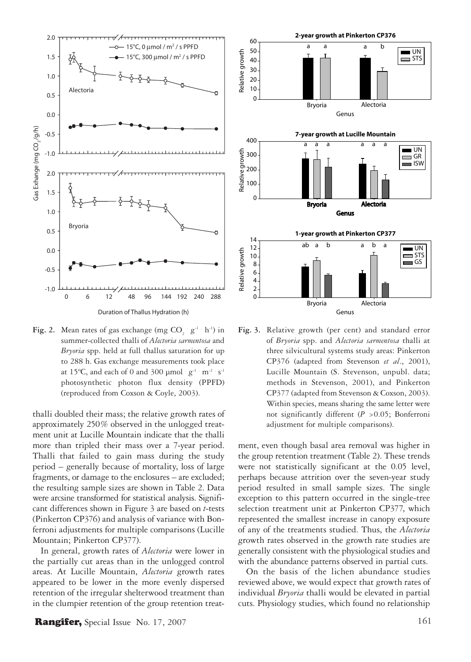

**Fig. 2.** Mean rates of gas exchange (mg  $CO_2$   $g^{-1}$   $h^{-1}$ ) in summer-collected thalli of *Alectoria sarmentosa* and *Bryoria* spp. held at full thallus saturation for up to 288 h. Gas exchange measurements took place at 15°C, and each of 0 and 300  $\mu$ mol  $\cdot$  g<sup>-1</sup>  $\cdot$  m<sup>-2</sup>  $\cdot$  s<sup>-1</sup> photosynthetic photon flux density (PPFD) (reproduced from Coxson & Coyle, 2003).

thalli doubled their mass; the relative growth rates of approximately 250% observed in the unlogged treatment unit at Lucille Mountain indicate that the thalli more than tripled their mass over a 7-year period. Thalli that failed to gain mass during the study period – generally because of mortality, loss of large fragments, or damage to the enclosures – are excluded; the resulting sample sizes are shown in Table 2. Data were arcsine transformed for statistical analysis. Significant differences shown in Figure 3 are based on *t*-tests (Pinkerton CP376) and analysis of variance with Bonferroni adjustments for multiple comparisons (Lucille Mountain; Pinkerton CP377).

In general, growth rates of *Alectoria* were lower in the partially cut areas than in the unlogged control areas. At Lucille Mountain, *Alectoria* growth rates appeared to be lower in the more evenly dispersed retention of the irregular shelterwood treatment than in the clumpier retention of the group retention treat-



**Fig. 3.** Relative growth (per cent) and standard error of *Bryoria* spp. and *Alectoria sarmentosa* thalli at three silvicultural systems study areas: Pinkerton CP376 (adapted from Stevenson *et al*., 2001), Lucille Mountain (S. Stevenson, unpubl. data; methods in Stevenson, 2001), and Pinkerton CP377 (adapted from Stevenson & Coxson, 2003). Within species, means sharing the same letter were not significantly different (*P* >0.05; Bonferroni adjustment for multiple comparisons).

ment, even though basal area removal was higher in the group retention treatment (Table 2). These trends were not statistically significant at the 0.05 level, perhaps because attrition over the seven-year study period resulted in small sample sizes. The single exception to this pattern occurred in the single-tree selection treatment unit at Pinkerton CP377, which represented the smallest increase in canopy exposure of any of the treatments studied. Thus, the *Alectoria* growth rates observed in the growth rate studies are generally consistent with the physiological studies and with the abundance patterns observed in partial cuts.

On the basis of the lichen abundance studies reviewed above, we would expect that growth rates of individual *Bryoria* thalli would be elevated in partial cuts. Physiology studies, which found no relationship

## **Rangifer,** Special Issue No. 17, 2007  $161$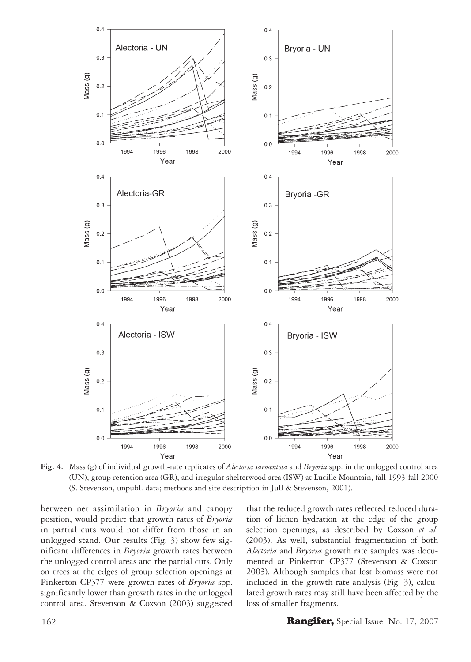

**Fig. 4.** Mass (g) of individual growth-rate replicates of *Alectoria sarmentosa* and *Bryoria* spp. in the unlogged control area (UN), group retention area (GR), and irregular shelterwood area (ISW) at Lucille Mountain, fall 1993-fall 2000 (S. Stevenson, unpubl. data; methods and site description in Jull & Stevenson, 2001).

between net assimilation in *Bryoria* and canopy position, would predict that growth rates of *Bryoria* in partial cuts would not differ from those in an unlogged stand. Our results (Fig. 3) show few significant differences in *Bryoria* growth rates between the unlogged control areas and the partial cuts. Only on trees at the edges of group selection openings at Pinkerton CP377 were growth rates of *Bryoria* spp. significantly lower than growth rates in the unlogged control area. Stevenson & Coxson (2003) suggested that the reduced growth rates reflected reduced duration of lichen hydration at the edge of the group selection openings, as described by Coxson *et al*. (2003). As well, substantial fragmentation of both *Alectoria* and *Bryoria* growth rate samples was documented at Pinkerton CP377 (Stevenson & Coxson 2003). Although samples that lost biomass were not included in the growth-rate analysis (Fig. 3), calculated growth rates may still have been affected by the loss of smaller fragments.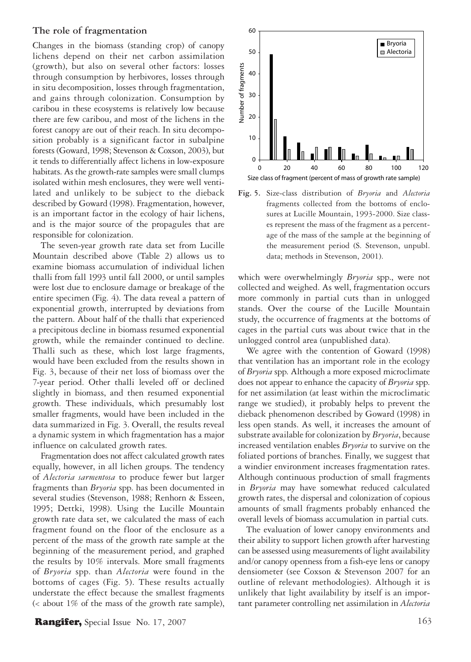#### **The role of fragmentation**

Changes in the biomass (standing crop) of canopy lichens depend on their net carbon assimilation (growth), but also on several other factors: losses through consumption by herbivores, losses through in situ decomposition, losses through fragmentation, and gains through colonization. Consumption by caribou in these ecosystems is relatively low because there are few caribou, and most of the lichens in the forest canopy are out of their reach. In situ decomposition probably is a significant factor in subalpine forests (Goward, 1998; Stevenson & Coxson, 2003), but it tends to differentially affect lichens in low-exposure habitats. As the growth-rate samples were small clumps isolated within mesh enclosures, they were well ventilated and unlikely to be subject to the dieback described by Goward (1998). Fragmentation, however, is an important factor in the ecology of hair lichens, and is the major source of the propagules that are responsible for colonization.

The seven-year growth rate data set from Lucille Mountain described above (Table 2) allows us to examine biomass accumulation of individual lichen thalli from fall 1993 until fall 2000, or until samples were lost due to enclosure damage or breakage of the entire specimen (Fig. 4). The data reveal a pattern of exponential growth, interrupted by deviations from the pattern. About half of the thalli that experienced a precipitous decline in biomass resumed exponential growth, while the remainder continued to decline. Thalli such as these, which lost large fragments, would have been excluded from the results shown in Fig. 3, because of their net loss of biomass over the 7-year period. Other thalli leveled off or declined slightly in biomass, and then resumed exponential growth. These individuals, which presumably lost smaller fragments, would have been included in the data summarized in Fig. 3. Overall, the results reveal a dynamic system in which fragmentation has a major influence on calculated growth rates.

Fragmentation does not affect calculated growth rates equally, however, in all lichen groups. The tendency of *Alectoria sarmentosa* to produce fewer but larger fragments than *Bryoria* spp. has been documented in several studies (Stevenson, 1988; Renhorn & Esseen, 1995; Dettki, 1998). Using the Lucille Mountain growth rate data set, we calculated the mass of each fragment found on the floor of the enclosure as a percent of the mass of the growth rate sample at the beginning of the measurement period, and graphed the results by 10% intervals. More small fragments of *Bryoria* spp. than *Alectoria* were found in the bottoms of cages (Fig. 5). These results actually understate the effect because the smallest fragments (< about 1% of the mass of the growth rate sample),



**Fig. 5.** Size-class distribution of *Bryoria* and *Alectoria*  fragments collected from the bottoms of enclosures at Lucille Mountain, 1993-2000. Size classes represent the mass of the fragment as a percentage of the mass of the sample at the beginning of the measurement period (S. Stevenson, unpubl. data; methods in Stevenson, 2001).

which were overwhelmingly *Bryoria* spp., were not collected and weighed. As well, fragmentation occurs more commonly in partial cuts than in unlogged stands. Over the course of the Lucille Mountain study, the occurrence of fragments at the bottoms of cages in the partial cuts was about twice that in the unlogged control area (unpublished data).

We agree with the contention of Goward (1998) that ventilation has an important role in the ecology of *Bryoria* spp. Although a more exposed microclimate does not appear to enhance the capacity of *Bryoria* spp. for net assimilation (at least within the microclimatic range we studied), it probably helps to prevent the dieback phenomenon described by Goward (1998) in less open stands. As well, it increases the amount of substrate available for colonization by *Bryoria*, because increased ventilation enables *Bryoria* to survive on the foliated portions of branches. Finally, we suggest that a windier environment increases fragmentation rates. Although continuous production of small fragments in *Bryoria* may have somewhat reduced calculated growth rates, the dispersal and colonization of copious amounts of small fragments probably enhanced the overall levels of biomass accumulation in partial cuts.

The evaluation of lower canopy environments and their ability to support lichen growth after harvesting can be assessed using measurements of light availability and/or canopy openness from a fish-eye lens or canopy densiometer (see Coxson & Stevenson 2007 for an outline of relevant methodologies). Although it is unlikely that light availability by itself is an important parameter controlling net assimilation in *Alectoria*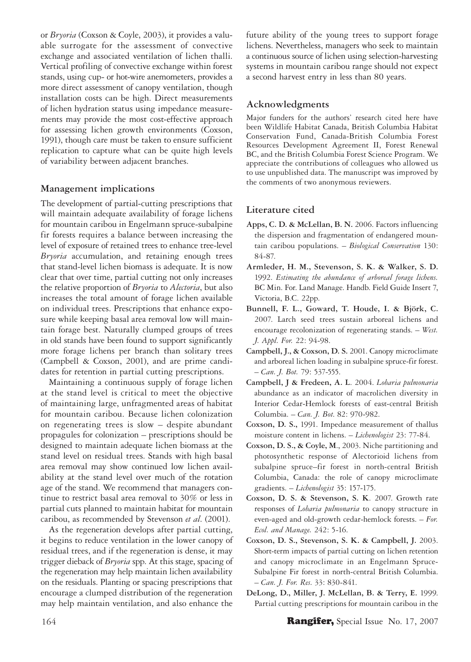or *Bryoria* (Coxson & Coyle, 2003), it provides a valuable surrogate for the assessment of convective exchange and associated ventilation of lichen thalli. Vertical profiling of convective exchange within forest stands, using cup- or hot-wire anemometers, provides a more direct assessment of canopy ventilation, though installation costs can be high. Direct measurements of lichen hydration status using impedance measurements may provide the most cost-effective approach for assessing lichen growth environments (Coxson, 1991), though care must be taken to ensure sufficient replication to capture what can be quite high levels of variability between adjacent branches.

#### **Management implications**

The development of partial-cutting prescriptions that will maintain adequate availability of forage lichens for mountain caribou in Engelmann spruce-subalpine fir forests requires a balance between increasing the level of exposure of retained trees to enhance tree-level *Bryoria* accumulation, and retaining enough trees that stand-level lichen biomass is adequate. It is now clear that over time, partial cutting not only increases the relative proportion of *Bryoria* to *Alectoria*, but also increases the total amount of forage lichen available on individual trees. Prescriptions that enhance exposure while keeping basal area removal low will maintain forage best. Naturally clumped groups of trees in old stands have been found to support significantly more forage lichens per branch than solitary trees (Campbell & Coxson, 2001), and are prime candidates for retention in partial cutting prescriptions.

Maintaining a continuous supply of forage lichen at the stand level is critical to meet the objective of maintaining large, unfragmented areas of habitat for mountain caribou. Because lichen colonization on regenerating trees is slow – despite abundant propagules for colonization – prescriptions should be designed to maintain adequate lichen biomass at the stand level on residual trees. Stands with high basal area removal may show continued low lichen availability at the stand level over much of the rotation age of the stand. We recommend that managers continue to restrict basal area removal to 30% or less in partial cuts planned to maintain habitat for mountain caribou, as recommended by Stevenson *et al*. (2001).

As the regeneration develops after partial cutting, it begins to reduce ventilation in the lower canopy of residual trees, and if the regeneration is dense, it may trigger dieback of *Bryoria* spp. At this stage, spacing of the regeneration may help maintain lichen availability on the residuals. Planting or spacing prescriptions that encourage a clumped distribution of the regeneration may help maintain ventilation, and also enhance the

future ability of the young trees to support forage lichens. Nevertheless, managers who seek to maintain a continuous source of lichen using selection-harvesting systems in mountain caribou range should not expect a second harvest entry in less than 80 years.

## **Acknowledgments**

Major funders for the authors' research cited here have been Wildlife Habitat Canada, British Columbia Habitat Conservation Fund, Canada-British Columbia Forest Resources Development Agreement II, Forest Renewal BC, and the British Columbia Forest Science Program. We appreciate the contributions of colleagues who allowed us to use unpublished data. The manuscript was improved by the comments of two anonymous reviewers.

## **Literature cited**

- **Apps, C. D. & McLellan, B. N.** 2006. Factors influencing the dispersion and fragmentation of endangered mountain caribou populations. – *Biological Conservation* 130: 84-87.
- **Armleder, H. M., Stevenson, S. K. & Walker, S. D.** 1992. *Estimating the abundance of arboreal forage lichens.* BC Min. For. Land Manage. Handb. Field Guide Insert 7, Victoria, B.C. 22pp.
- **Bunnell, F. L., Goward, T. Houde, I. & Björk, C.** 2007. Larch seed trees sustain arboreal lichens and encourage recolonization of regenerating stands. – *West. J. Appl. For.* 22: 94-98.
- **Campbell, J., & Coxson, D. S.** 2001. Canopy microclimate and arboreal lichen loading in subalpine spruce-fir forest. – *Can. J. Bot.* 79: 537-555.
- **Campbell, J & Fredeen, A. L**. 2004. *Lobaria pulmonaria* abundance as an indicator of macrolichen diversity in Interior Cedar-Hemlock forests of east-central British Columbia. – *Can. J. Bot*. 82: 970-982.
- **Coxson, D. S.,** 1991. Impedance measurement of thallus moisture content in lichens. – *Lichenologist* 23: 77-84.
- **Coxson, D. S., & Coyle, M**., 2003. Niche partitioning and photosynthetic response of Alectorioid lichens from subalpine spruce–fir forest in north-central British Columbia, Canada: the role of canopy microclimate gradients. – *Lichenologist* 35: 157-175.
- **Coxson, D. S. & Stevenson, S. K**. 2007. Growth rate responses of *Lobaria pulmonaria* to canopy structure in even-aged and old-growth cedar-hemlock forests. – *For. Ecol. and Manage.* 242: 5-16.
- **Coxson, D. S., Stevenson, S. K. & Campbell, J.** 2003. Short-term impacts of partial cutting on lichen retention and canopy microclimate in an Engelmann Spruce-Subalpine Fir forest in north-central British Columbia. – *Can. J. For. Res*. 33: 830-841.
- **DeLong, D., Miller, J. McLellan, B. & Terry, E.** 1999. Partial cutting prescriptions for mountain caribou in the